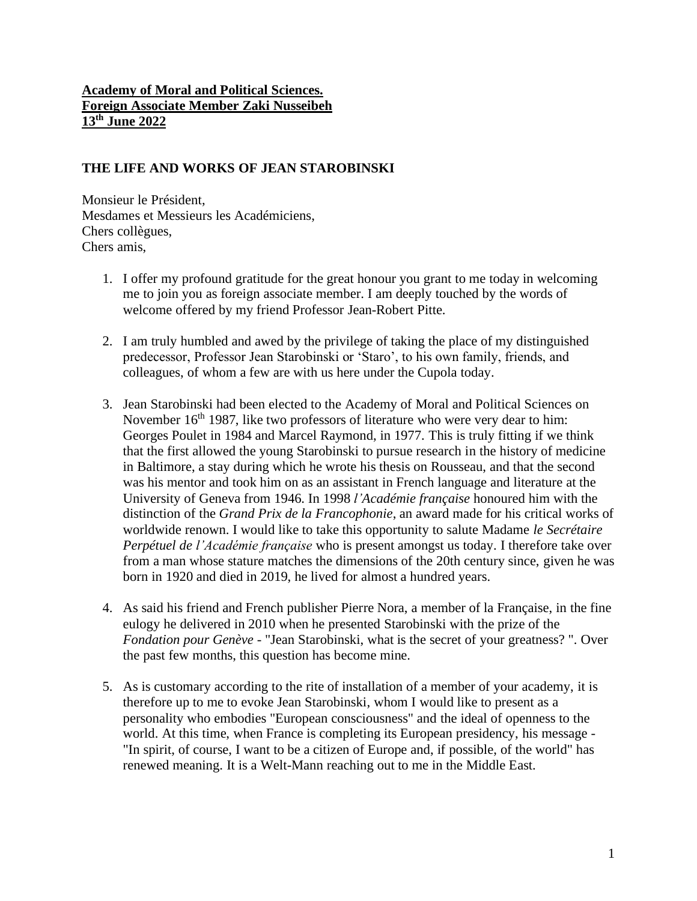## **Academy of Moral and Political Sciences. Foreign Associate Member Zaki Nusseibeh 13th June 2022**

# **THE LIFE AND WORKS OF JEAN STAROBINSKI**

Monsieur le Président, Mesdames et Messieurs les Académiciens, Chers collègues, Chers amis,

- 1. I offer my profound gratitude for the great honour you grant to me today in welcoming me to join you as foreign associate member. I am deeply touched by the words of welcome offered by my friend Professor Jean-Robert Pitte.
- 2. I am truly humbled and awed by the privilege of taking the place of my distinguished predecessor, Professor Jean Starobinski or 'Staro', to his own family, friends, and colleagues, of whom a few are with us here under the Cupola today.
- 3. Jean Starobinski had been elected to the Academy of Moral and Political Sciences on November  $16<sup>th</sup>$  1987, like two professors of literature who were very dear to him: Georges Poulet in 1984 and Marcel Raymond, in 1977. This is truly fitting if we think that the first allowed the young Starobinski to pursue research in the history of medicine in Baltimore, a stay during which he wrote his thesis on Rousseau, and that the second was his mentor and took him on as an assistant in French language and literature at the University of Geneva from 1946. In 1998 *l'Académie française* honoured him with the distinction of the *Grand Prix de la Francophonie*, an award made for his critical works of worldwide renown. I would like to take this opportunity to salute Madame *le Secrétaire Perpétuel de l'Académie française* who is present amongst us today. I therefore take over from a man whose stature matches the dimensions of the 20th century since, given he was born in 1920 and died in 2019, he lived for almost a hundred years.
- 4. As said his friend and French publisher Pierre Nora, a member of la Française, in the fine eulogy he delivered in 2010 when he presented Starobinski with the prize of the *Fondation pour Genève* - "Jean Starobinski, what is the secret of your greatness? ". Over the past few months, this question has become mine.
- 5. As is customary according to the rite of installation of a member of your academy, it is therefore up to me to evoke Jean Starobinski, whom I would like to present as a personality who embodies "European consciousness" and the ideal of openness to the world. At this time, when France is completing its European presidency, his message - "In spirit, of course, I want to be a citizen of Europe and, if possible, of the world" has renewed meaning. It is a Welt-Mann reaching out to me in the Middle East.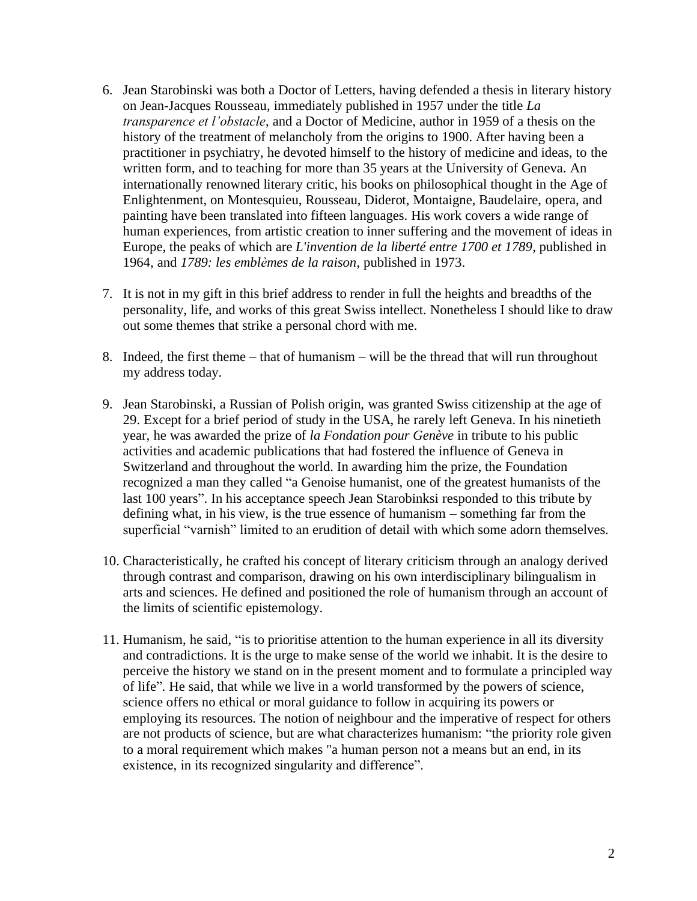- 6. Jean Starobinski was both a Doctor of Letters, having defended a thesis in literary history on Jean-Jacques Rousseau, immediately published in 1957 under the title *La transparence et l'obstacle*, and a Doctor of Medicine, author in 1959 of a thesis on the history of the treatment of melancholy from the origins to 1900. After having been a practitioner in psychiatry, he devoted himself to the history of medicine and ideas, to the written form, and to teaching for more than 35 years at the University of Geneva. An internationally renowned literary critic, his books on philosophical thought in the Age of Enlightenment, on Montesquieu, Rousseau, Diderot, Montaigne, Baudelaire, opera, and painting have been translated into fifteen languages. His work covers a wide range of human experiences, from artistic creation to inner suffering and the movement of ideas in Europe, the peaks of which are *L'invention de la liberté entre 1700 et 1789*, published in 1964, and *1789: les emblèmes de la raison,* published in 1973.
- 7. It is not in my gift in this brief address to render in full the heights and breadths of the personality, life, and works of this great Swiss intellect. Nonetheless I should like to draw out some themes that strike a personal chord with me.
- 8. Indeed, the first theme that of humanism will be the thread that will run throughout my address today.
- 9. Jean Starobinski, a Russian of Polish origin, was granted Swiss citizenship at the age of 29. Except for a brief period of study in the USA, he rarely left Geneva. In his ninetieth year, he was awarded the prize of *la Fondation pour Genève* in tribute to his public activities and academic publications that had fostered the influence of Geneva in Switzerland and throughout the world. In awarding him the prize, the Foundation recognized a man they called "a Genoise humanist, one of the greatest humanists of the last 100 years". In his acceptance speech Jean Starobinksi responded to this tribute by defining what, in his view, is the true essence of humanism – something far from the superficial "varnish" limited to an erudition of detail with which some adorn themselves.
- 10. Characteristically, he crafted his concept of literary criticism through an analogy derived through contrast and comparison, drawing on his own interdisciplinary bilingualism in arts and sciences. He defined and positioned the role of humanism through an account of the limits of scientific epistemology.
- 11. Humanism, he said, "is to prioritise attention to the human experience in all its diversity and contradictions. It is the urge to make sense of the world we inhabit. It is the desire to perceive the history we stand on in the present moment and to formulate a principled way of life". He said, that while we live in a world transformed by the powers of science, science offers no ethical or moral guidance to follow in acquiring its powers or employing its resources. The notion of neighbour and the imperative of respect for others are not products of science, but are what characterizes humanism: "the priority role given to a moral requirement which makes "a human person not a means but an end, in its existence, in its recognized singularity and difference".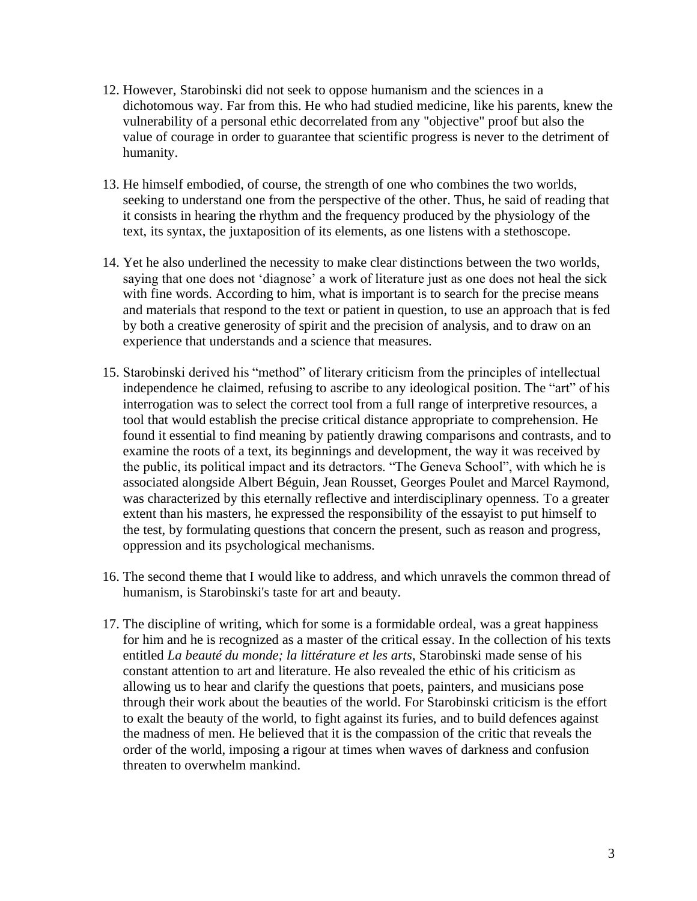- 12. However, Starobinski did not seek to oppose humanism and the sciences in a dichotomous way. Far from this. He who had studied medicine, like his parents, knew the vulnerability of a personal ethic decorrelated from any "objective" proof but also the value of courage in order to guarantee that scientific progress is never to the detriment of humanity.
- 13. He himself embodied, of course, the strength of one who combines the two worlds, seeking to understand one from the perspective of the other. Thus, he said of reading that it consists in hearing the rhythm and the frequency produced by the physiology of the text, its syntax, the juxtaposition of its elements, as one listens with a stethoscope.
- 14. Yet he also underlined the necessity to make clear distinctions between the two worlds, saying that one does not 'diagnose' a work of literature just as one does not heal the sick with fine words. According to him, what is important is to search for the precise means and materials that respond to the text or patient in question, to use an approach that is fed by both a creative generosity of spirit and the precision of analysis, and to draw on an experience that understands and a science that measures.
- 15. Starobinski derived his "method" of literary criticism from the principles of intellectual independence he claimed, refusing to ascribe to any ideological position. The "art" of his interrogation was to select the correct tool from a full range of interpretive resources, a tool that would establish the precise critical distance appropriate to comprehension. He found it essential to find meaning by patiently drawing comparisons and contrasts, and to examine the roots of a text, its beginnings and development, the way it was received by the public, its political impact and its detractors. "The Geneva School", with which he is associated alongside Albert Béguin, Jean Rousset, Georges Poulet and Marcel Raymond, was characterized by this eternally reflective and interdisciplinary openness. To a greater extent than his masters, he expressed the responsibility of the essayist to put himself to the test, by formulating questions that concern the present, such as reason and progress, oppression and its psychological mechanisms.
- 16. The second theme that I would like to address, and which unravels the common thread of humanism, is Starobinski's taste for art and beauty.
- 17. The discipline of writing, which for some is a formidable ordeal, was a great happiness for him and he is recognized as a master of the critical essay. In the collection of his texts entitled *La beauté du monde; la littérature et les arts*, Starobinski made sense of his constant attention to art and literature. He also revealed the ethic of his criticism as allowing us to hear and clarify the questions that poets, painters, and musicians pose through their work about the beauties of the world. For Starobinski criticism is the effort to exalt the beauty of the world, to fight against its furies, and to build defences against the madness of men. He believed that it is the compassion of the critic that reveals the order of the world, imposing a rigour at times when waves of darkness and confusion threaten to overwhelm mankind.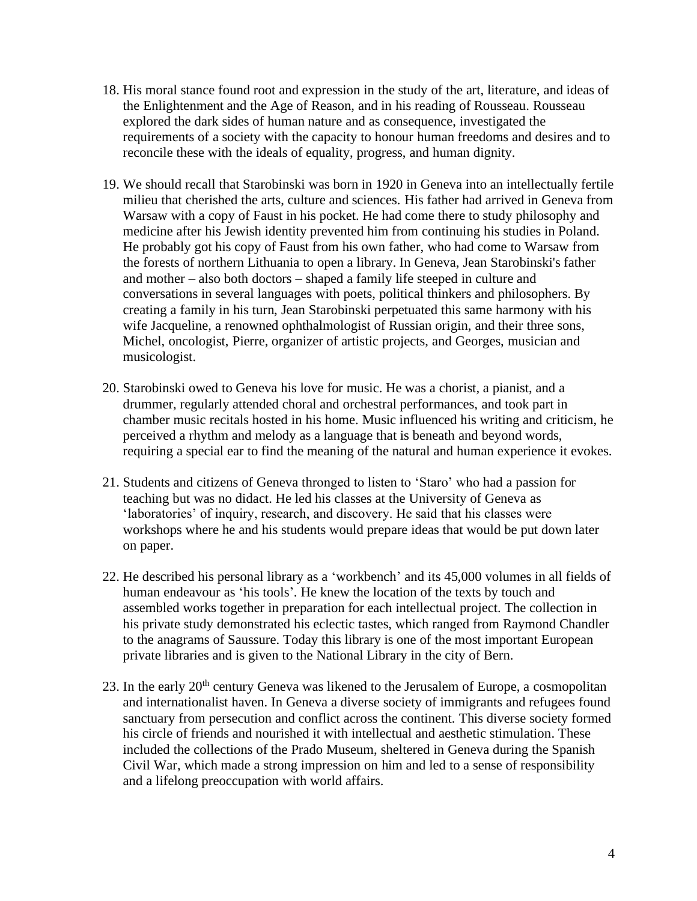- 18. His moral stance found root and expression in the study of the art, literature, and ideas of the Enlightenment and the Age of Reason, and in his reading of Rousseau. Rousseau explored the dark sides of human nature and as consequence, investigated the requirements of a society with the capacity to honour human freedoms and desires and to reconcile these with the ideals of equality, progress, and human dignity.
- 19. We should recall that Starobinski was born in 1920 in Geneva into an intellectually fertile milieu that cherished the arts, culture and sciences. His father had arrived in Geneva from Warsaw with a copy of Faust in his pocket. He had come there to study philosophy and medicine after his Jewish identity prevented him from continuing his studies in Poland. He probably got his copy of Faust from his own father, who had come to Warsaw from the forests of northern Lithuania to open a library. In Geneva, Jean Starobinski's father and mother – also both doctors – shaped a family life steeped in culture and conversations in several languages with poets, political thinkers and philosophers. By creating a family in his turn, Jean Starobinski perpetuated this same harmony with his wife Jacqueline, a renowned ophthalmologist of Russian origin, and their three sons, Michel, oncologist, Pierre, organizer of artistic projects, and Georges, musician and musicologist.
- 20. Starobinski owed to Geneva his love for music. He was a chorist, a pianist, and a drummer, regularly attended choral and orchestral performances, and took part in chamber music recitals hosted in his home. Music influenced his writing and criticism, he perceived a rhythm and melody as a language that is beneath and beyond words, requiring a special ear to find the meaning of the natural and human experience it evokes.
- 21. Students and citizens of Geneva thronged to listen to 'Staro' who had a passion for teaching but was no didact. He led his classes at the University of Geneva as 'laboratories' of inquiry, research, and discovery. He said that his classes were workshops where he and his students would prepare ideas that would be put down later on paper.
- 22. He described his personal library as a 'workbench' and its 45,000 volumes in all fields of human endeavour as 'his tools'. He knew the location of the texts by touch and assembled works together in preparation for each intellectual project. The collection in his private study demonstrated his eclectic tastes, which ranged from Raymond Chandler to the anagrams of Saussure. Today this library is one of the most important European private libraries and is given to the National Library in the city of Bern.
- 23. In the early  $20<sup>th</sup>$  century Geneva was likened to the Jerusalem of Europe, a cosmopolitan and internationalist haven. In Geneva a diverse society of immigrants and refugees found sanctuary from persecution and conflict across the continent. This diverse society formed his circle of friends and nourished it with intellectual and aesthetic stimulation. These included the collections of the Prado Museum, sheltered in Geneva during the Spanish Civil War, which made a strong impression on him and led to a sense of responsibility and a lifelong preoccupation with world affairs.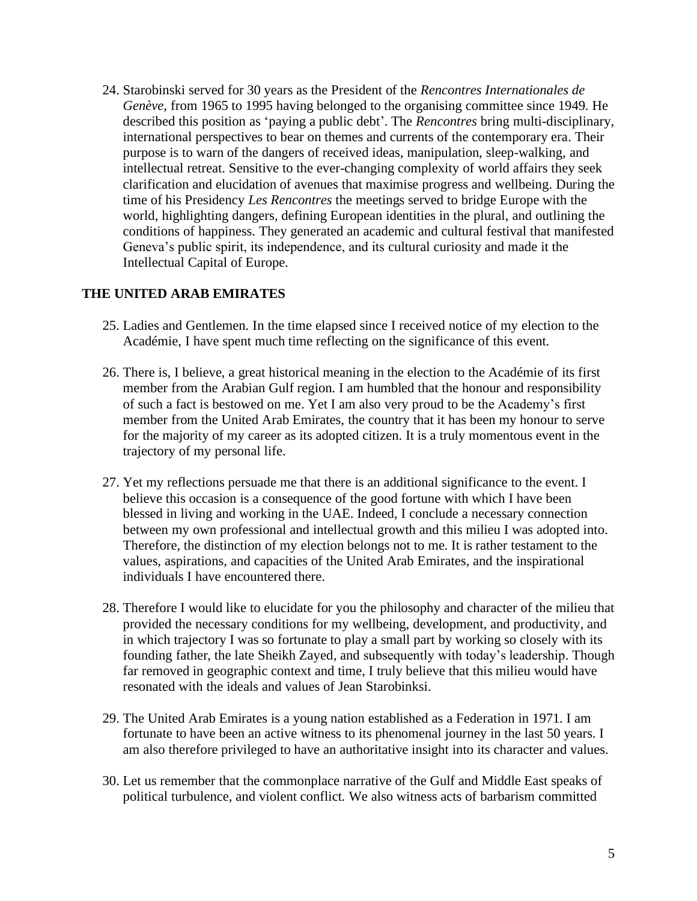24. Starobinski served for 30 years as the President of the *Rencontres Internationales de Genève*, from 1965 to 1995 having belonged to the organising committee since 1949. He described this position as 'paying a public debt'. The *Rencontres* bring multi-disciplinary, international perspectives to bear on themes and currents of the contemporary era. Their purpose is to warn of the dangers of received ideas, manipulation, sleep-walking, and intellectual retreat. Sensitive to the ever-changing complexity of world affairs they seek clarification and elucidation of avenues that maximise progress and wellbeing. During the time of his Presidency *Les Rencontres* the meetings served to bridge Europe with the world, highlighting dangers, defining European identities in the plural, and outlining the conditions of happiness. They generated an academic and cultural festival that manifested Geneva's public spirit, its independence, and its cultural curiosity and made it the Intellectual Capital of Europe.

## **THE UNITED ARAB EMIRATES**

- 25. Ladies and Gentlemen. In the time elapsed since I received notice of my election to the Académie, I have spent much time reflecting on the significance of this event.
- 26. There is, I believe, a great historical meaning in the election to the Académie of its first member from the Arabian Gulf region. I am humbled that the honour and responsibility of such a fact is bestowed on me. Yet I am also very proud to be the Academy's first member from the United Arab Emirates, the country that it has been my honour to serve for the majority of my career as its adopted citizen. It is a truly momentous event in the trajectory of my personal life.
- 27. Yet my reflections persuade me that there is an additional significance to the event. I believe this occasion is a consequence of the good fortune with which I have been blessed in living and working in the UAE. Indeed, I conclude a necessary connection between my own professional and intellectual growth and this milieu I was adopted into. Therefore, the distinction of my election belongs not to me. It is rather testament to the values, aspirations, and capacities of the United Arab Emirates, and the inspirational individuals I have encountered there.
- 28. Therefore I would like to elucidate for you the philosophy and character of the milieu that provided the necessary conditions for my wellbeing, development, and productivity, and in which trajectory I was so fortunate to play a small part by working so closely with its founding father, the late Sheikh Zayed, and subsequently with today's leadership. Though far removed in geographic context and time, I truly believe that this milieu would have resonated with the ideals and values of Jean Starobinksi.
- 29. The United Arab Emirates is a young nation established as a Federation in 1971. I am fortunate to have been an active witness to its phenomenal journey in the last 50 years. I am also therefore privileged to have an authoritative insight into its character and values.
- 30. Let us remember that the commonplace narrative of the Gulf and Middle East speaks of political turbulence, and violent conflict. We also witness acts of barbarism committed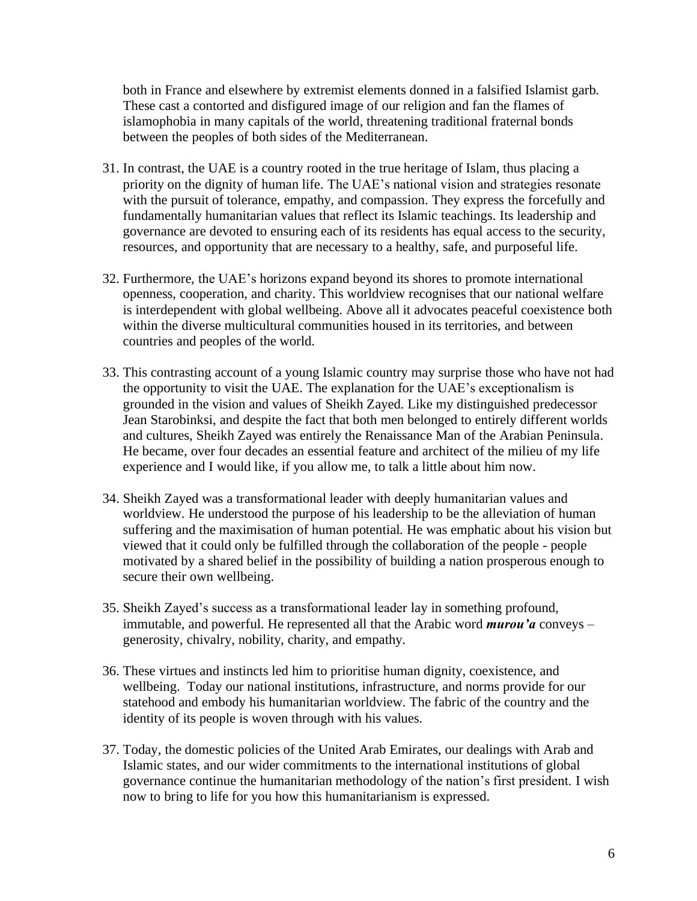both in France and elsewhere by extremist elements donned in a falsified Islamist garb. These cast a contorted and disfigured image of our religion and fan the flames of islamophobia in many capitals of the world, threatening traditional fraternal bonds between the peoples of both sides of the Mediterranean.

- 31. In contrast, the UAE is a country rooted in the true heritage of Islam, thus placing a priority on the dignity of human life. The UAE's national vision and strategies resonate with the pursuit of tolerance, empathy, and compassion. They express the forcefully and fundamentally humanitarian values that reflect its Islamic teachings. Its leadership and governance are devoted to ensuring each of its residents has equal access to the security, resources, and opportunity that are necessary to a healthy, safe, and purposeful life.
- 32. Furthermore, the UAE's horizons expand beyond its shores to promote international openness, cooperation, and charity. This worldview recognises that our national welfare is interdependent with global wellbeing. Above all it advocates peaceful coexistence both within the diverse multicultural communities housed in its territories, and between countries and peoples of the world.
- 33. This contrasting account of a young Islamic country may surprise those who have not had the opportunity to visit the UAE. The explanation for the UAE's exceptionalism is grounded in the vision and values of Sheikh Zayed. Like my distinguished predecessor Jean Starobinksi, and despite the fact that both men belonged to entirely different worlds and cultures, Sheikh Zayed was entirely the Renaissance Man of the Arabian Peninsula. He became, over four decades an essential feature and architect of the milieu of my life experience and I would like, if you allow me, to talk a little about him now.
- 34. Sheikh Zayed was a transformational leader with deeply humanitarian values and worldview. He understood the purpose of his leadership to be the alleviation of human suffering and the maximisation of human potential. He was emphatic about his vision but viewed that it could only be fulfilled through the collaboration of the people - people motivated by a shared belief in the possibility of building a nation prosperous enough to secure their own wellbeing.
- 35. Sheikh Zayed's success as a transformational leader lay in something profound, immutable, and powerful. He represented all that the Arabic word *murou'a* conveys – generosity, chivalry, nobility, charity, and empathy.
- 36. These virtues and instincts led him to prioritise human dignity, coexistence, and wellbeing. Today our national institutions, infrastructure, and norms provide for our statehood and embody his humanitarian worldview. The fabric of the country and the identity of its people is woven through with his values.
- 37. Today, the domestic policies of the United Arab Emirates, our dealings with Arab and Islamic states, and our wider commitments to the international institutions of global governance continue the humanitarian methodology of the nation's first president. I wish now to bring to life for you how this humanitarianism is expressed.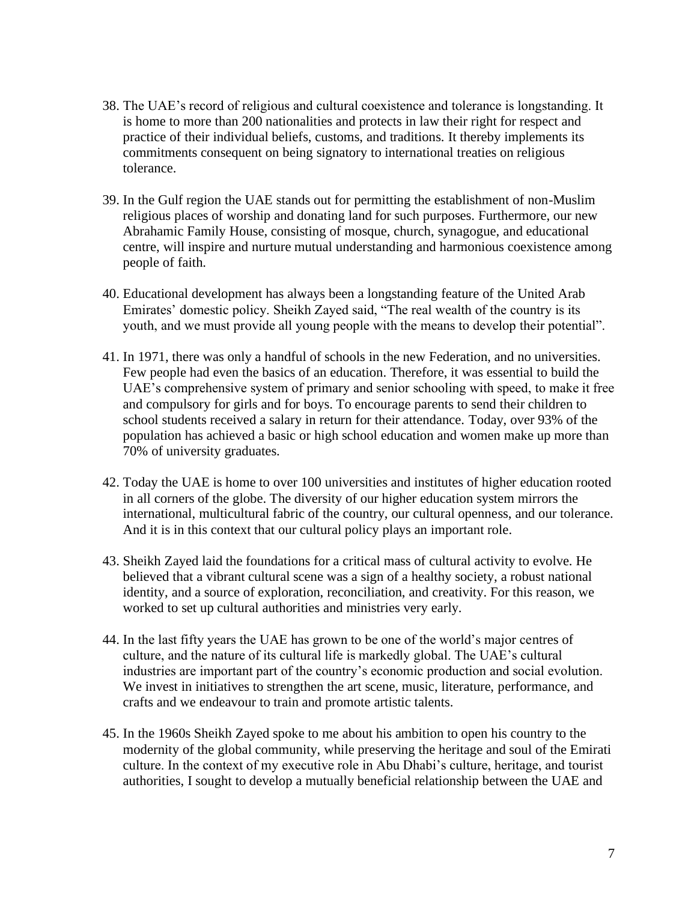- 38. The UAE's record of religious and cultural coexistence and tolerance is longstanding. It is home to more than 200 nationalities and protects in law their right for respect and practice of their individual beliefs, customs, and traditions. It thereby implements its commitments consequent on being signatory to international treaties on religious tolerance.
- 39. In the Gulf region the UAE stands out for permitting the establishment of non-Muslim religious places of worship and donating land for such purposes. Furthermore, our new Abrahamic Family House, consisting of mosque, church, synagogue, and educational centre, will inspire and nurture mutual understanding and harmonious coexistence among people of faith.
- 40. Educational development has always been a longstanding feature of the United Arab Emirates' domestic policy. Sheikh Zayed said, "The real wealth of the country is its youth, and we must provide all young people with the means to develop their potential".
- 41. In 1971, there was only a handful of schools in the new Federation, and no universities. Few people had even the basics of an education. Therefore, it was essential to build the UAE's comprehensive system of primary and senior schooling with speed, to make it free and compulsory for girls and for boys. To encourage parents to send their children to school students received a salary in return for their attendance. Today, over 93% of the population has achieved a basic or high school education and women make up more than 70% of university graduates.
- 42. Today the UAE is home to over 100 universities and institutes of higher education rooted in all corners of the globe. The diversity of our higher education system mirrors the international, multicultural fabric of the country, our cultural openness, and our tolerance. And it is in this context that our cultural policy plays an important role.
- 43. Sheikh Zayed laid the foundations for a critical mass of cultural activity to evolve. He believed that a vibrant cultural scene was a sign of a healthy society, a robust national identity, and a source of exploration, reconciliation, and creativity. For this reason, we worked to set up cultural authorities and ministries very early.
- 44. In the last fifty years the UAE has grown to be one of the world's major centres of culture, and the nature of its cultural life is markedly global. The UAE's cultural industries are important part of the country's economic production and social evolution. We invest in initiatives to strengthen the art scene, music, literature, performance, and crafts and we endeavour to train and promote artistic talents.
- 45. In the 1960s Sheikh Zayed spoke to me about his ambition to open his country to the modernity of the global community, while preserving the heritage and soul of the Emirati culture. In the context of my executive role in Abu Dhabi's culture, heritage, and tourist authorities, I sought to develop a mutually beneficial relationship between the UAE and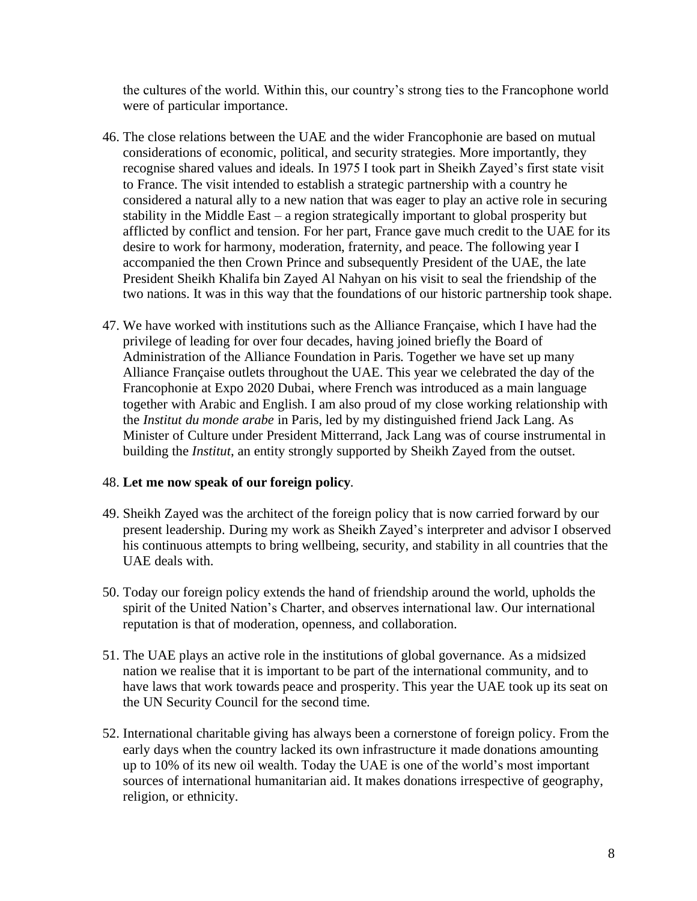the cultures of the world. Within this, our country's strong ties to the Francophone world were of particular importance.

- 46. The close relations between the UAE and the wider Francophonie are based on mutual considerations of economic, political, and security strategies. More importantly, they recognise shared values and ideals. In 1975 I took part in Sheikh Zayed's first state visit to France. The visit intended to establish a strategic partnership with a country he considered a natural ally to a new nation that was eager to play an active role in securing stability in the Middle East – a region strategically important to global prosperity but afflicted by conflict and tension. For her part, France gave much credit to the UAE for its desire to work for harmony, moderation, fraternity, and peace. The following year I accompanied the then Crown Prince and subsequently President of the UAE, the late President Sheikh Khalifa bin Zayed Al Nahyan on his visit to seal the friendship of the two nations. It was in this way that the foundations of our historic partnership took shape.
- 47. We have worked with institutions such as the Alliance Française, which I have had the privilege of leading for over four decades, having joined briefly the Board of Administration of the Alliance Foundation in Paris. Together we have set up many Alliance Française outlets throughout the UAE. This year we celebrated the day of the Francophonie at Expo 2020 Dubai, where French was introduced as a main language together with Arabic and English. I am also proud of my close working relationship with the *Institut du monde arabe* in Paris, led by my distinguished friend Jack Lang. As Minister of Culture under President Mitterrand, Jack Lang was of course instrumental in building the *Institut*, an entity strongly supported by Sheikh Zayed from the outset.

#### 48. **Let me now speak of our foreign policy**.

- 49. Sheikh Zayed was the architect of the foreign policy that is now carried forward by our present leadership. During my work as Sheikh Zayed's interpreter and advisor I observed his continuous attempts to bring wellbeing, security, and stability in all countries that the UAE deals with.
- 50. Today our foreign policy extends the hand of friendship around the world, upholds the spirit of the United Nation's Charter, and observes international law. Our international reputation is that of moderation, openness, and collaboration.
- 51. The UAE plays an active role in the institutions of global governance. As a midsized nation we realise that it is important to be part of the international community, and to have laws that work towards peace and prosperity. This year the UAE took up its seat on the UN Security Council for the second time.
- 52. International charitable giving has always been a cornerstone of foreign policy. From the early days when the country lacked its own infrastructure it made donations amounting up to 10% of its new oil wealth. Today the UAE is one of the world's most important sources of international humanitarian aid. It makes donations irrespective of geography, religion, or ethnicity.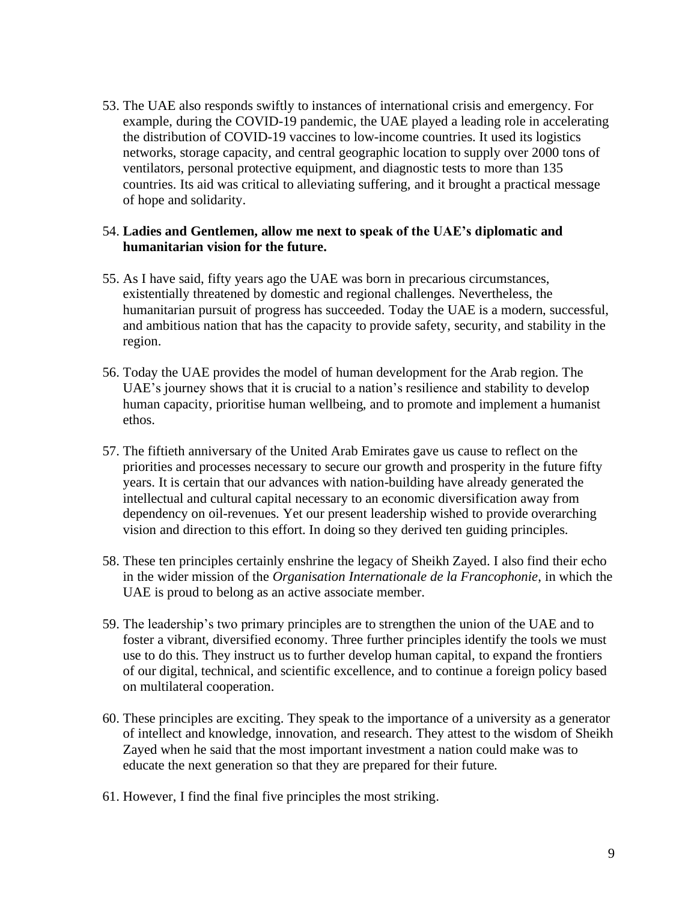53. The UAE also responds swiftly to instances of international crisis and emergency. For example, during the COVID-19 pandemic, the UAE played a leading role in accelerating the distribution of COVID-19 vaccines to low-income countries. It used its logistics networks, storage capacity, and central geographic location to supply over 2000 tons of ventilators, personal protective equipment, and diagnostic tests to more than 135 countries. Its aid was critical to alleviating suffering, and it brought a practical message of hope and solidarity.

#### 54. **Ladies and Gentlemen, allow me next to speak of the UAE's diplomatic and humanitarian vision for the future.**

- 55. As I have said, fifty years ago the UAE was born in precarious circumstances, existentially threatened by domestic and regional challenges. Nevertheless, the humanitarian pursuit of progress has succeeded. Today the UAE is a modern, successful, and ambitious nation that has the capacity to provide safety, security, and stability in the region.
- 56. Today the UAE provides the model of human development for the Arab region. The UAE's journey shows that it is crucial to a nation's resilience and stability to develop human capacity, prioritise human wellbeing, and to promote and implement a humanist ethos.
- 57. The fiftieth anniversary of the United Arab Emirates gave us cause to reflect on the priorities and processes necessary to secure our growth and prosperity in the future fifty years. It is certain that our advances with nation-building have already generated the intellectual and cultural capital necessary to an economic diversification away from dependency on oil-revenues. Yet our present leadership wished to provide overarching vision and direction to this effort. In doing so they derived ten guiding principles.
- 58. These ten principles certainly enshrine the legacy of Sheikh Zayed. I also find their echo in the wider mission of the *Organisation Internationale de la Francophonie*, in which the UAE is proud to belong as an active associate member.
- 59. The leadership's two primary principles are to strengthen the union of the UAE and to foster a vibrant, diversified economy. Three further principles identify the tools we must use to do this. They instruct us to further develop human capital, to expand the frontiers of our digital, technical, and scientific excellence, and to continue a foreign policy based on multilateral cooperation.
- 60. These principles are exciting. They speak to the importance of a university as a generator of intellect and knowledge, innovation, and research. They attest to the wisdom of Sheikh Zayed when he said that the most important investment a nation could make was to educate the next generation so that they are prepared for their future.
- 61. However, I find the final five principles the most striking.